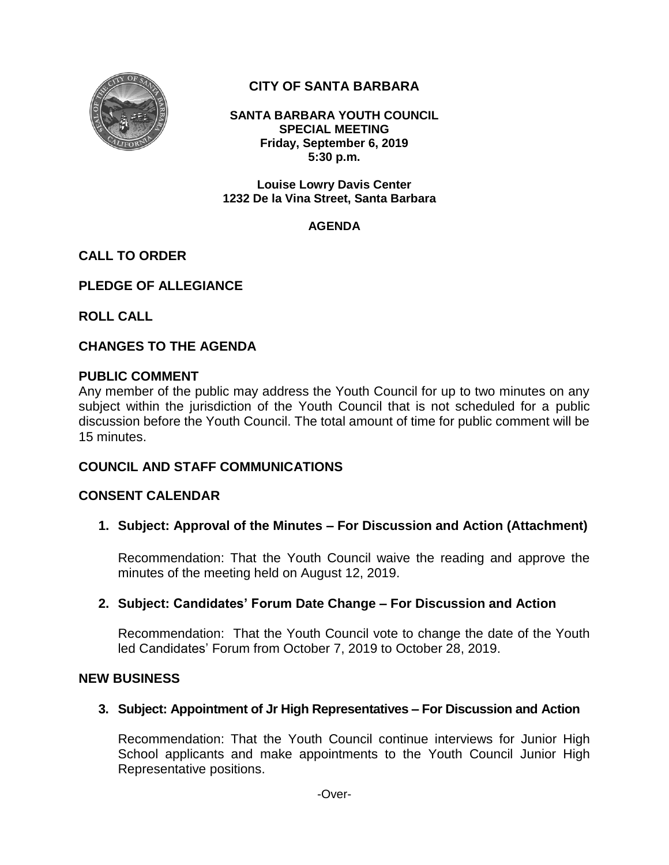

# **CITY OF SANTA BARBARA**

**SANTA BARBARA YOUTH COUNCIL SPECIAL MEETING Friday, September 6, 2019 5:30 p.m.**

**Louise Lowry Davis Center 1232 De la Vina Street, Santa Barbara**

#### **AGENDA**

# **CALL TO ORDER**

# **PLEDGE OF ALLEGIANCE**

**ROLL CALL**

# **CHANGES TO THE AGENDA**

### **PUBLIC COMMENT**

Any member of the public may address the Youth Council for up to two minutes on any subject within the jurisdiction of the Youth Council that is not scheduled for a public discussion before the Youth Council. The total amount of time for public comment will be 15 minutes.

# **COUNCIL AND STAFF COMMUNICATIONS**

# **CONSENT CALENDAR**

**1. Subject: Approval of the Minutes – For Discussion and Action (Attachment)**

Recommendation: That the Youth Council waive the reading and approve the minutes of the meeting held on August 12, 2019.

# **2. Subject: Candidates' Forum Date Change – For Discussion and Action**

Recommendation: That the Youth Council vote to change the date of the Youth led Candidates' Forum from October 7, 2019 to October 28, 2019.

#### **NEW BUSINESS**

# **3. Subject: Appointment of Jr High Representatives – For Discussion and Action**

Recommendation: That the Youth Council continue interviews for Junior High School applicants and make appointments to the Youth Council Junior High Representative positions.